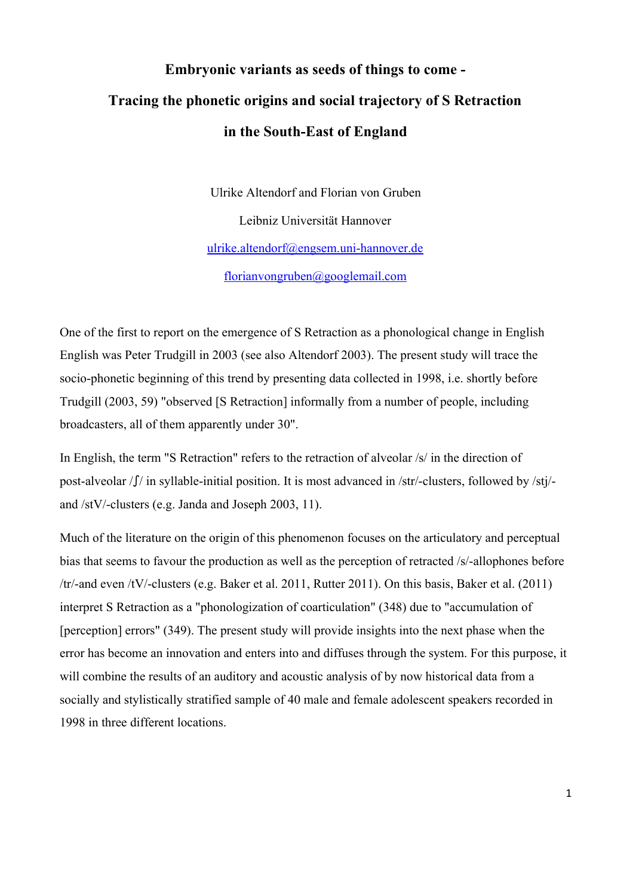## **Embryonic variants as seeds of things to come Tracing the phonetic origins and social trajectory of S Retraction** in the South-East of England

Ulrike Altendorf and Florian von Gruben Leibniz Universität Hannover ulrike.altendorf@engsem.uni-hannover.de [florianvongruben@googlemail.com](mailto:florianvongruben@googlemail.com)

One of the first to report on the emergence of S Retraction as a phonological change in English English was Peter Trudgill in 2003 (see also Altendorf 2003). The present study will trace the socio-phonetic beginning of this trend by presenting data collected in 1998, i.e. shortly before Trudgill (2003, 59) "observed [S Retraction] informally from a number of people, including broadcasters, all of them apparently under 30".

In English, the term "S Retraction" refers to the retraction of alveolar /s/ in the direction of post-alveolar  $\int \int f$  in syllable-initial position. It is most advanced in /str/-clusters, followed by /stj/and /stV/-clusters (e.g. Janda and Joseph 2003, 11).

Much of the literature on the origin of this phenomenon focuses on the articulatory and perceptual bias that seems to favour the production as well as the perception of retracted /s/-allophones before /tr/and even /tV/clusters (e.g. Baker et al. 2011, Rutter 2011). On this basis, Baker et al. (2011) interpret S Retraction as a "phonologization of coarticulation" (348) due to "accumulation of [perception] errors" (349). The present study will provide insights into the next phase when the error has become an innovation and enters into and diffuses through the system. For this purpose, it will combine the results of an auditory and acoustic analysis of by now historical data from a socially and stylistically stratified sample of 40 male and female adolescent speakers recorded in 1998 in three different locations.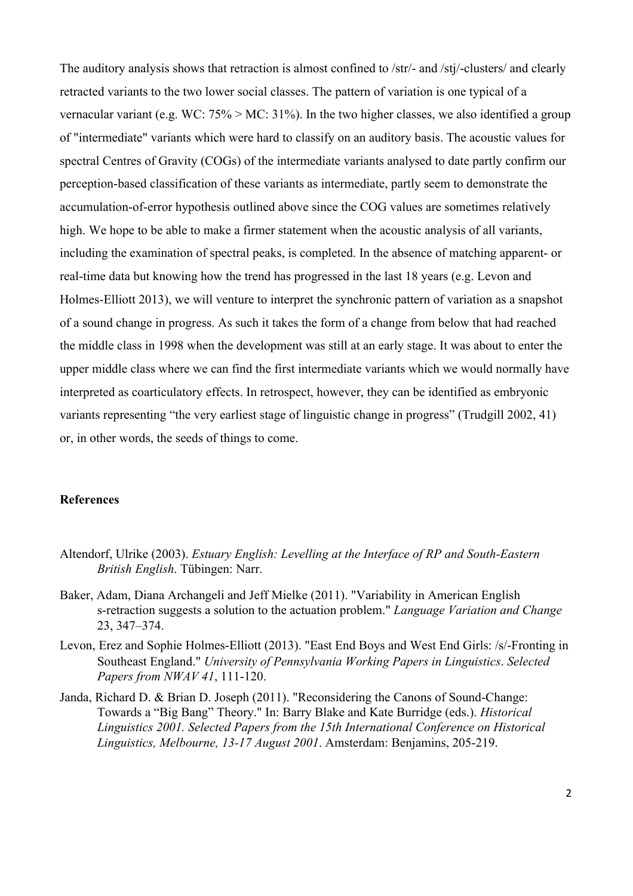The auditory analysis shows that retraction is almost confined to /str/- and /stj/-clusters/ and clearly retracted variants to the two lower social classes. The pattern of variation is one typical of a vernacular variant (e.g. WC: 75% > MC: 31%). In the two higher classes, we also identified a group of "intermediate" variants which were hard to classify on an auditory basis. The acoustic values for spectral Centres of Gravity (COGs) of the intermediate variants analysed to date partly confirm our perception-based classification of these variants as intermediate, partly seem to demonstrate the accumulation-of-error hypothesis outlined above since the COG values are sometimes relatively high. We hope to be able to make a firmer statement when the acoustic analysis of all variants, including the examination of spectral peaks, is completed. In the absence of matching apparent- or real-time data but knowing how the trend has progressed in the last 18 years (e.g. Levon and Holmes-Elliott 2013), we will venture to interpret the synchronic pattern of variation as a snapshot of a sound change in progress. As such it takes the form of a change from below that had reached the middle class in 1998 when the development was still at an early stage. It was about to enter the upper middle class where we can find the first intermediate variants which we would normally have interpreted as coarticulatory effects. In retrospect, however, they can be identified as embryonic variants representing "the very earliest stage of linguistic change in progress" (Trudgill 2002, 41) or, in other words, the seeds of things to come.

## **References**

- Altendorf, Ulrike (2003). *Estuary English: Levelling at the Interface of RP and South-Eastern British English*. Tübingen: Narr.
- Baker, Adam, Diana Archangeli and Jeff Mielke (2011). "Variability in American English sretraction suggests a solution to the actuation problem." *Language Variation and Change* 23, 347–374.
- Levon, Erez and Sophie Holmes-Elliott (2013). "East End Boys and West End Girls: /s/-Fronting in Southeast England." *University of Pennsylvania Working Papers in Linguistics*. *Selected Papers from NWAV 41*, 111-120.
- Janda, Richard D. & Brian D. Joseph (2011). "Reconsidering the Canons of Sound-Change: Towards a "Big Bang" Theory." In: Barry Blake and Kate Burridge (eds.). *Historical Linguistics 2001. Selected Papers from the 15th International Conference on Historical Linguistics, Melbourne, 13-17 August 2001.* Amsterdam: Benjamins, 205-219.